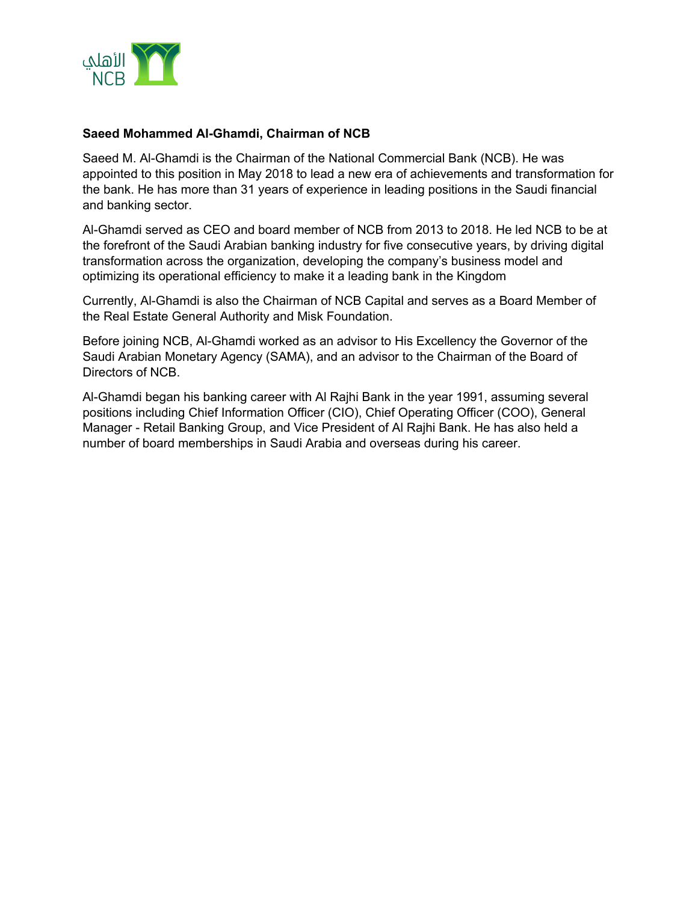

## **Saeed Mohammed Al-Ghamdi, Chairman of NCB**

Saeed M. Al-Ghamdi is the Chairman of the National Commercial Bank (NCB). He was appointed to this position in May 2018 to lead a new era of achievements and transformation for the bank. He has more than 31 years of experience in leading positions in the Saudi financial and banking sector.

Al-Ghamdi served as CEO and board member of NCB from 2013 to 2018. He led NCB to be at the forefront of the Saudi Arabian banking industry for five consecutive years, by driving digital transformation across the organization, developing the company's business model and optimizing its operational efficiency to make it a leading bank in the Kingdom

Currently, Al-Ghamdi is also the Chairman of NCB Capital and serves as a Board Member of the Real Estate General Authority and Misk Foundation.

Before joining NCB, Al-Ghamdi worked as an advisor to His Excellency the Governor of the Saudi Arabian Monetary Agency (SAMA), and an advisor to the Chairman of the Board of Directors of NCB.

Al-Ghamdi began his banking career with Al Rajhi Bank in the year 1991, assuming several positions including Chief Information Officer (CIO), Chief Operating Officer (COO), General Manager - Retail Banking Group, and Vice President of Al Rajhi Bank. He has also held a number of board memberships in Saudi Arabia and overseas during his career.